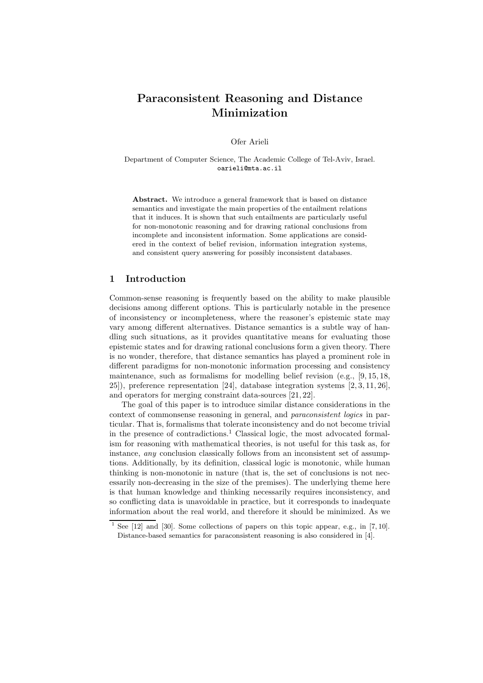# Paraconsistent Reasoning and Distance Minimization

Ofer Arieli

Department of Computer Science, The Academic College of Tel-Aviv, Israel. oarieli@mta.ac.il

Abstract. We introduce a general framework that is based on distance semantics and investigate the main properties of the entailment relations that it induces. It is shown that such entailments are particularly useful for non-monotonic reasoning and for drawing rational conclusions from incomplete and inconsistent information. Some applications are considered in the context of belief revision, information integration systems, and consistent query answering for possibly inconsistent databases.

## 1 Introduction

Common-sense reasoning is frequently based on the ability to make plausible decisions among different options. This is particularly notable in the presence of inconsistency or incompleteness, where the reasoner's epistemic state may vary among different alternatives. Distance semantics is a subtle way of handling such situations, as it provides quantitative means for evaluating those epistemic states and for drawing rational conclusions form a given theory. There is no wonder, therefore, that distance semantics has played a prominent role in different paradigms for non-monotonic information processing and consistency maintenance, such as formalisms for modelling belief revision (e.g., [9, 15, 18, 25]), preference representation [24], database integration systems [2, 3, 11, 26], and operators for merging constraint data-sources [21, 22].

The goal of this paper is to introduce similar distance considerations in the context of commonsense reasoning in general, and paraconsistent logics in particular. That is, formalisms that tolerate inconsistency and do not become trivial in the presence of contradictions.<sup>1</sup> Classical logic, the most advocated formalism for reasoning with mathematical theories, is not useful for this task as, for instance, *any* conclusion classically follows from an inconsistent set of assumptions. Additionally, by its definition, classical logic is monotonic, while human thinking is non-monotonic in nature (that is, the set of conclusions is not necessarily non-decreasing in the size of the premises). The underlying theme here is that human knowledge and thinking necessarily requires inconsistency, and so conflicting data is unavoidable in practice, but it corresponds to inadequate information about the real world, and therefore it should be minimized. As we

<sup>&</sup>lt;sup>1</sup> See  $[12]$  and  $[30]$ . Some collections of papers on this topic appear, e.g., in  $[7, 10]$ . Distance-based semantics for paraconsistent reasoning is also considered in [4].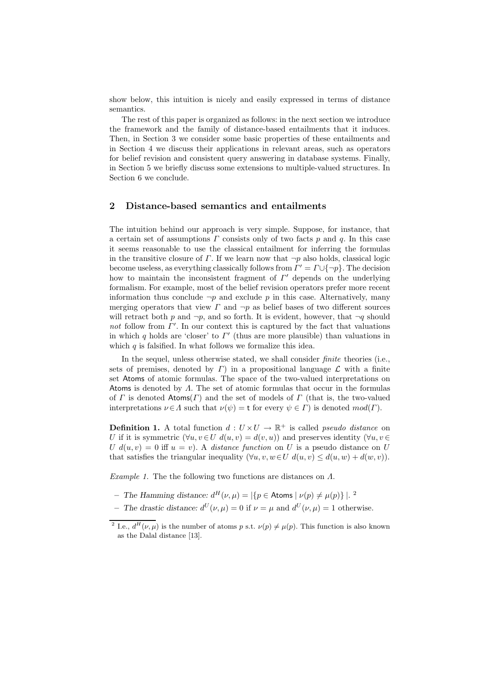show below, this intuition is nicely and easily expressed in terms of distance semantics.

The rest of this paper is organized as follows: in the next section we introduce the framework and the family of distance-based entailments that it induces. Then, in Section 3 we consider some basic properties of these entailments and in Section 4 we discuss their applications in relevant areas, such as operators for belief revision and consistent query answering in database systems. Finally, in Section 5 we briefly discuss some extensions to multiple-valued structures. In Section 6 we conclude.

#### 2 Distance-based semantics and entailments

The intuition behind our approach is very simple. Suppose, for instance, that a certain set of assumptions  $\Gamma$  consists only of two facts  $p$  and  $q$ . In this case it seems reasonable to use the classical entailment for inferring the formulas in the transitive closure of  $\Gamma$ . If we learn now that  $\neg p$  also holds, classical logic become useless, as everything classically follows from  $\Gamma' = \Gamma \cup \{\neg p\}$ . The decision how to maintain the inconsistent fragment of  $\Gamma'$  depends on the underlying formalism. For example, most of the belief revision operators prefer more recent information thus conclude  $\neg p$  and exclude p in this case. Alternatively, many merging operators that view  $\Gamma$  and  $\neg p$  as belief bases of two different sources will retract both p and  $\neg p$ , and so forth. It is evident, however, that  $\neg q$  should not follow from  $\Gamma'$ . In our context this is captured by the fact that valuations in which q holds are 'closer' to  $\Gamma'$  (thus are more plausible) than valuations in which  $q$  is falsified. In what follows we formalize this idea.

In the sequel, unless otherwise stated, we shall consider *finite* theories (i.e., sets of premises, denoted by  $\Gamma$ ) in a propositional language  $\mathcal L$  with a finite set Atoms of atomic formulas. The space of the two-valued interpretations on Atoms is denoted by  $\Lambda$ . The set of atomic formulas that occur in the formulas of Γ is denoted Atoms(Γ) and the set of models of Γ (that is, the two-valued interpretations  $\nu \in \Lambda$  such that  $\nu(\psi) = t$  for every  $\psi \in \Lambda$  is denoted  $mod(\Gamma)$ .

**Definition 1.** A total function  $d: U \times U \rightarrow \mathbb{R}^+$  is called *pseudo distance* on U if it is symmetric  $(\forall u, v \in U \ d(u, v) = d(v, u))$  and preserves identity  $(\forall u, v \in U \ d(u, v))$ U  $d(u, v) = 0$  iff  $u = v$ ). A *distance function* on U is a pseudo distance on U that satisfies the triangular inequality  $(\forall u, v, w \in U \ d(u, v) \leq d(u, w) + d(w, v)).$ 

Example 1. The the following two functions are distances on  $\Lambda$ .

- The Hamming distance:  $d^H(\nu,\mu) = |\{p \in \text{Atoms} \mid \nu(p) \neq \mu(p)\}|$ .<sup>2</sup>

- The drastic distance:  $d^U(\nu,\mu) = 0$  if  $\nu = \mu$  and  $d^U(\nu,\mu) = 1$  otherwise.

<sup>&</sup>lt;sup>2</sup> I.e.,  $d^{H}(\nu,\mu)$  is the number of atoms p s.t.  $\nu(p) \neq \mu(p)$ . This function is also known as the Dalal distance [13].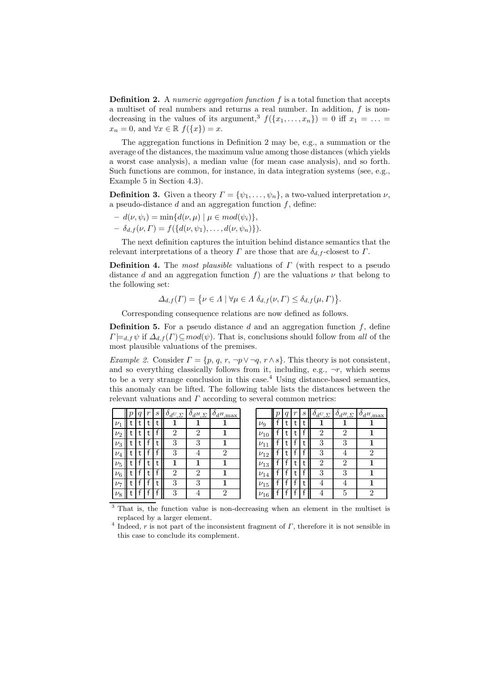**Definition 2.** A numeric aggregation function f is a total function that accepts a multiset of real numbers and returns a real number. In addition,  $f$  is nondecreasing in the values of its argument,<sup>3</sup>  $f(\lbrace x_1,\ldots,x_n \rbrace) = 0$  iff  $x_1 = \ldots =$  $x_n = 0$ , and  $\forall x \in \mathbb{R}$   $f(\lbrace x \rbrace) = x$ .

The aggregation functions in Definition 2 may be, e.g., a summation or the average of the distances, the maximum value among those distances (which yields a worst case analysis), a median value (for mean case analysis), and so forth. Such functions are common, for instance, in data integration systems (see, e.g., Example 5 in Section 4.3).

**Definition 3.** Given a theory  $\Gamma = {\psi_1, \ldots, \psi_n}$ , a two-valued interpretation  $\nu$ , a pseudo-distance  $d$  and an aggregation function  $f$ , define:

$$
- d(\nu, \psi_i) = \min\{d(\nu, \mu) \mid \mu \in mod(\psi_i)\},
$$

 $- \delta_{d,f}(\nu,\Gamma) = f({d(\nu,\psi_1),\ldots,d(\nu,\psi_n)}).$ 

The next definition captures the intuition behind distance semantics that the relevant interpretations of a theory  $\Gamma$  are those that are  $\delta_{d,f}$ -closest to  $\Gamma$ .

**Definition 4.** The most plausible valuations of  $\Gamma$  (with respect to a pseudo distance d and an aggregation function f) are the valuations  $\nu$  that belong to the following set:

$$
\Delta_{d,f}(\Gamma) = \{ \nu \in \Lambda \mid \forall \mu \in \Lambda \, \delta_{d,f}(\nu, \Gamma) \leq \delta_{d,f}(\mu, \Gamma) \}.
$$

Corresponding consequence relations are now defined as follows.

**Definition 5.** For a pseudo distance  $d$  and an aggregation function  $f$ , define  $\Gamma \models_{d,f} \psi$  if  $\Delta_{d,f}(\Gamma) \subseteq mod(\psi)$ . That is, conclusions should follow from all of the most plausible valuations of the premises.

Example 2. Consider  $\Gamma = \{p, q, r, \neg p \lor \neg q, r \land s\}$ . This theory is not consistent, and so everything classically follows from it, including, e.g.,  $\neg r$ , which seems to be a very strange conclusion in this case.<sup>4</sup> Using distance-based semantics, this anomaly can be lifted. The following table lists the distances between the relevant valuations and  $\Gamma$  according to several common metrics:

|         | $\boldsymbol{q}$ | $\,r$ | $\mathcal{S}_{\mathcal{S}}$ | $\partial_d U_{,\Sigma}$ | $O_dH, \Sigma$ | $\partial_d H$ <sub>max</sub> |            | q | $\boldsymbol{r}$ | S | $O_dU_{\mathcal{L}}$ | $\delta_{d^H,\Sigma}$ | $\delta_{d^H,\rm max}$ |
|---------|------------------|-------|-----------------------------|--------------------------|----------------|-------------------------------|------------|---|------------------|---|----------------------|-----------------------|------------------------|
| $\nu_1$ |                  | t     |                             |                          |                |                               | $\nu_9$    |   |                  | τ | 1                    |                       |                        |
| $\nu_2$ |                  | t     |                             | $\overline{2}$           | $\overline{2}$ |                               | $\nu_{10}$ |   |                  |   | $\overline{2}$       | $\overline{2}$        |                        |
| $\nu_3$ |                  |       |                             | 3                        | 3              |                               | $\nu_{11}$ |   |                  | t | 3                    | 3                     |                        |
| $\nu_4$ |                  |       |                             | 3                        | 4              | ≘                             | $\nu_{12}$ |   |                  |   | 3                    |                       |                        |
| $\nu_5$ |                  | t     | t                           |                          |                |                               | $\nu_{13}$ |   |                  | t | $\overline{2}$       | $\overline{2}$        |                        |
| $\nu_6$ |                  |       |                             | റ                        | $\mathfrak{D}$ |                               | $\nu_{14}$ |   |                  |   | 3                    | 3                     |                        |
| $\nu_7$ |                  |       |                             | 3                        | 3              |                               | $\nu_{15}$ |   |                  |   | 4                    |                       |                        |
| $\nu_8$ |                  |       |                             | 3                        |                |                               | $\nu_{16}$ |   |                  |   |                      | 5                     |                        |

<sup>3</sup> That is, the function value is non-decreasing when an element in the multiset is replaced by a larger element.

<sup>&</sup>lt;sup>4</sup> Indeed, r is not part of the inconsistent fragment of  $\Gamma$ , therefore it is not sensible in this case to conclude its complement.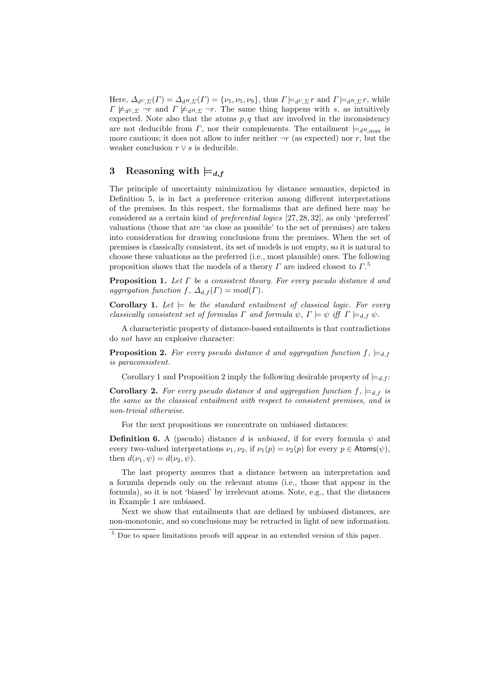Here,  $\Delta_{d^U,\Sigma}(\Gamma) = \Delta_{d^H,\Sigma}(\Gamma) = \{\nu_1,\nu_5,\nu_9\}$ , thus  $\Gamma \models_{d^U,\Sigma} r$  and  $\Gamma \models_{d^H,\Sigma} r$ , while  $\Gamma \not\models_{d^U, \Sigma} \neg r$  and  $\Gamma \not\models_{d^H, \Sigma} \neg r$ . The same thing happens with s, as intuitively expected. Note also that the atoms  $p, q$  that are involved in the inconsistency are not deducible from  $\Gamma$ , nor their complements. The entailment  $\models_{d^H,\max}$  is more cautious; it does not allow to infer neither  $\neg r$  (as expected) nor r, but the weaker conclusion  $r \vee s$  is deducible.

# 3 Reasoning with  $\models d, f$

The principle of uncertainty minimization by distance semantics, depicted in Definition 5, is in fact a preference criterion among different interpretations of the premises. In this respect, the formalisms that are defined here may be considered as a certain kind of preferential logics [27, 28, 32], as only 'preferred' valuations (those that are 'as close as possible' to the set of premises) are taken into consideration for drawing conclusions from the premises. When the set of premises is classically consistent, its set of models is not empty, so it is natural to choose these valuations as the preferred (i.e., most plausible) ones. The following proposition shows that the models of a theory  $\Gamma$  are indeed closest to  $\Gamma$ <sup>5</sup>

**Proposition 1.** Let  $\Gamma$  be a consistent theory. For every pseudo distance d and aggregation function f,  $\Delta_{d,f}(\Gamma) = mod(\Gamma)$ .

**Corollary 1.** Let  $\models$  be the standard entailment of classical logic. For every classically consistent set of formulas  $\Gamma$  and formula  $\psi$ ,  $\Gamma \models \psi$  iff  $\Gamma \models_{d,f} \psi$ .

A characteristic property of distance-based entailments is that contradictions do not have an explosive character:

**Proposition 2.** For every pseudo distance d and aggregation function  $f_1 \models d, f_2$ is paraconsistent.

Corollary 1 and Proposition 2 imply the following desirable property of  $\models d, f$ :

**Corollary 2.** For every pseudo distance d and aggregation function  $f$ ,  $\models$ <sub>d,f</sub> is the same as the classical entailment with respect to consistent premises, and is non-trivial otherwise.

For the next propositions we concentrate on unbiased distances:

**Definition 6.** A (pseudo) distance d is unbiased, if for every formula  $\psi$  and every two-valued interpretations  $\nu_1, \nu_2$ , if  $\nu_1(p) = \nu_2(p)$  for every  $p \in \text{Atoms}(\psi)$ , then  $d(\nu_1, \psi) = d(\nu_2, \psi)$ .

The last property assures that a distance between an interpretation and a formula depends only on the relevant atoms (i.e., those that appear in the formula), so it is not 'biased' by irrelevant atoms. Note, e.g., that the distances in Example 1 are unbiased.

Next we show that entailments that are defined by unbiased distances, are non-monotonic, and so conclusions may be retracted in light of new information.

<sup>5</sup> Due to space limitations proofs will appear in an extended version of this paper.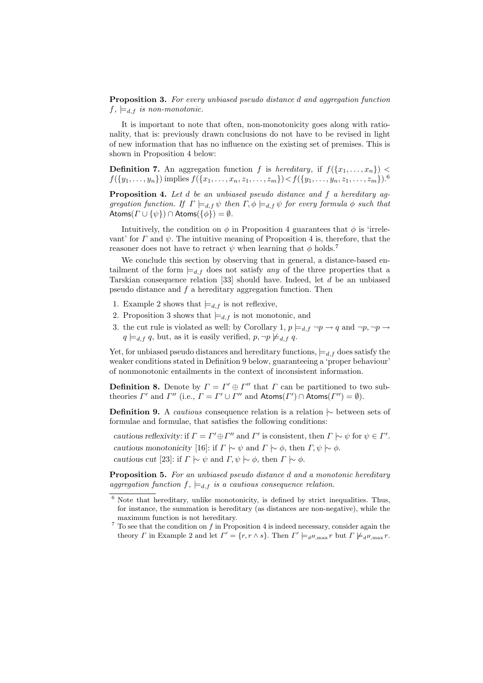Proposition 3. For every unbiased pseudo distance d and aggregation function  $f, \models_{d,f}$  is non-monotonic.

It is important to note that often, non-monotonicity goes along with rationality, that is: previously drawn conclusions do not have to be revised in light of new information that has no influence on the existing set of premises. This is shown in Proposition 4 below:

**Definition 7.** An aggregation function f is hereditary, if  $f(\{x_1, \ldots, x_n\})$  $f({y_1, \ldots, y_n})$  implies  $f({x_1, \ldots, x_n, z_1, \ldots, z_m}) < f({y_1, \ldots, y_n, z_1, \ldots, z_m})$ .

**Proposition 4.** Let  $d$  be an unbiased pseudo distance and  $f$  a hereditary aggregation function. If  $\Gamma \models_{d,f} \psi$  then  $\Gamma, \phi \models_{d,f} \psi$  for every formula  $\phi$  such that Atoms( $\Gamma \cup {\psi}$ ) ∩ Atoms( ${\phi}$ ) =  $\emptyset$ .

Intuitively, the condition on  $\phi$  in Proposition 4 guarantees that  $\phi$  is 'irrelevant' for  $\Gamma$  and  $\psi$ . The intuitive meaning of Proposition 4 is, therefore, that the reasoner does not have to retract  $\psi$  when learning that  $\phi$  holds.<sup>7</sup>

We conclude this section by observing that in general, a distance-based entailment of the form  $\models d, f$  does not satisfy any of the three properties that a Tarskian consequence relation [33] should have. Indeed, let d be an unbiased pseudo distance and f a hereditary aggregation function. Then

- 1. Example 2 shows that  $\models d, f$  is not reflexive,
- 2. Proposition 3 shows that  $\models d, f$  is not monotonic, and
- 3. the cut rule is violated as well: by Corollary 1,  $p \models_{d,f} \neg p \rightarrow q$  and  $\neg p, \neg p \rightarrow q$  $q \models_{d,f} q$ , but, as it is easily verified,  $p, \neg p \not\models_{d,f} q$ .

Yet, for unbiased pseudo distances and hereditary functions,  $\models_{d,f}$  does satisfy the weaker conditions stated in Definition 9 below, guaranteeing a 'proper behaviour' of nonmonotonic entailments in the context of inconsistent information.

**Definition 8.** Denote by  $\Gamma = \Gamma' \oplus \Gamma''$  that  $\Gamma$  can be partitioned to two subtheories  $\Gamma'$  and  $\Gamma''$  (i.e.,  $\Gamma = \Gamma' \cup \Gamma''$  and  $\text{Atoms}(\Gamma') \cap \text{Atoms}(\Gamma'') = \emptyset$ ).

**Definition 9.** A *cautious* consequence relation is a relation  $\sim$  between sets of formulae and formulae, that satisfies the following conditions:

cautious reflexivity: if  $\Gamma = \Gamma' \oplus \Gamma''$  and  $\Gamma'$  is consistent, then  $\Gamma \sim \psi$  for  $\psi \in \Gamma'$ . cautious monotonicity [16]: if  $\Gamma \mid \sim \psi$  and  $\Gamma \mid \sim \phi$ , then  $\Gamma, \psi \mid \sim \phi$ . cautious cut [23]: if  $\Gamma \sim \psi$  and  $\Gamma, \psi \sim \phi$ , then  $\Gamma \sim \phi$ .

Proposition 5. For an unbiased pseudo distance d and a monotonic hereditary aggregation function  $f$ ,  $\models_{d,f}$  is a cautious consequence relation.

 $6$  Note that hereditary, unlike monotonicity, is defined by strict inequalities. Thus, for instance, the summation is hereditary (as distances are non-negative), while the maximum function is not hereditary.

 $7$  To see that the condition on  $f$  in Proposition 4 is indeed necessary, consider again the theory  $\Gamma$  in Example 2 and let  $\Gamma' = \{r, r \wedge s\}$ . Then  $\Gamma' \models_{d^H, \max} r$  but  $\Gamma \not\models_{d^H, \max} r$ .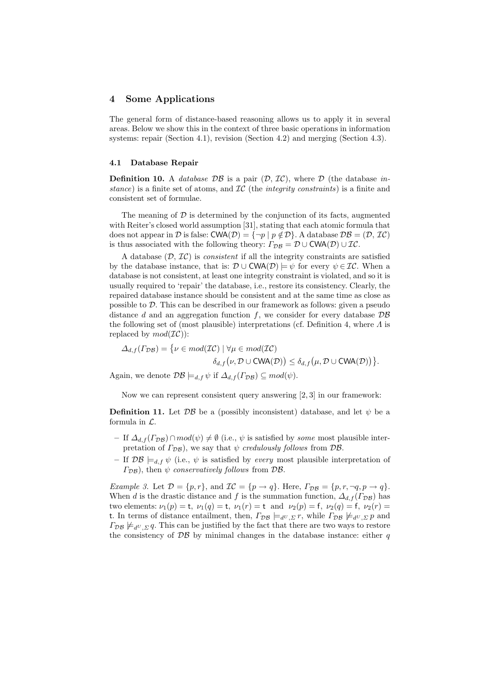### 4 Some Applications

The general form of distance-based reasoning allows us to apply it in several areas. Below we show this in the context of three basic operations in information systems: repair (Section 4.1), revision (Section 4.2) and merging (Section 4.3).

#### 4.1 Database Repair

**Definition 10.** A *database DB* is a pair  $(D, \mathcal{IC})$ , where D (the database instance) is a finite set of atoms, and  $IC$  (the *integrity constraints*) is a finite and consistent set of formulae.

The meaning of  $\mathcal D$  is determined by the conjunction of its facts, augmented with Reiter's closed world assumption [31], stating that each atomic formula that does not appear in D is false:  $\text{CWA}(\mathcal{D}) = \{\neg p \mid p \notin \mathcal{D}\}\$ . A database  $\mathcal{DB} = (\mathcal{D}, \mathcal{IC})$ is thus associated with the following theory:  $\Gamma_{\mathcal{DB}} = \mathcal{D} \cup \mathsf{CWA}(\mathcal{D}) \cup \mathcal{IC}.$ 

A database  $(D, \mathcal{IC})$  is *consistent* if all the integrity constraints are satisfied by the database instance, that is:  $\mathcal{D} \cup \text{CWA}(\mathcal{D}) \models \psi$  for every  $\psi \in \mathcal{IC}$ . When a database is not consistent, at least one integrity constraint is violated, and so it is usually required to 'repair' the database, i.e., restore its consistency. Clearly, the repaired database instance should be consistent and at the same time as close as possible to D. This can be described in our framework as follows: given a pseudo distance d and an aggregation function  $f$ , we consider for every database  $\mathcal{DB}$ the following set of (most plausible) interpretations (cf. Definition 4, where  $\Lambda$  is replaced by  $mod(\mathcal{IC})$ :

$$
\Delta_{d,f}(\Gamma_{\mathcal{DB}}) = \{ \nu \in mod(\mathcal{IC}) \mid \forall \mu \in mod(\mathcal{IC}) \delta_{d,f}(\nu, \mathcal{D} \cup \text{CWA}(\mathcal{D})) \leq \delta_{d,f}(\mu, \mathcal{D} \cup \text{CWA}(\mathcal{D})) \}.
$$

Again, we denote  $\mathcal{DB} \models_{d,f} \psi$  if  $\Delta_{d,f}(\Gamma_{\mathcal{DB}}) \subseteq mod(\psi)$ .

Now we can represent consistent query answering [2, 3] in our framework:

**Definition 11.** Let  $\mathcal{DB}$  be a (possibly inconsistent) database, and let  $\psi$  be a formula in  $\mathcal{L}$ .

- If  $\Delta_{d,f}(\Gamma_{\mathcal{DB}}) \cap mod(\psi) \neq \emptyset$  (i.e.,  $\psi$  is satisfied by *some* most plausible interpretation of  $\Gamma_{\mathcal{DB}}$ ), we say that  $\psi$  credulously follows from  $\mathcal{DB}$ .
- If  $\mathcal{DB} \models_{d,f} \psi$  (i.e.,  $\psi$  is satisfied by every most plausible interpretation of  $(\Gamma_{\mathcal{DB}})$ , then  $\psi$  conservatively follows from  $\mathcal{DB}$ .

*Example 3.* Let  $\mathcal{D} = \{p, r\}$ , and  $\mathcal{IC} = \{p \rightarrow q\}$ . Here,  $\Gamma_{\mathcal{DB}} = \{p, r, \neg q, p \rightarrow q\}$ . When d is the drastic distance and f is the summation function,  $\Delta_{d,f}(\Gamma_{\mathcal{DB}})$  has two elements:  $\nu_1(p) = t$ ,  $\nu_1(q) = t$ ,  $\nu_1(r) = t$  and  $\nu_2(p) = f$ ,  $\nu_2(q) = f$ ,  $\nu_2(r) = t$ t. In terms of distance entailment, then,  $\Gamma_{\mathcal{DB}} \models_{d^U, \Sigma} r$ , while  $\Gamma_{\mathcal{DB}} \not\models_{d^U, \Sigma} p$  and  $\Gamma_{\mathcal{DB}} \not\models_{d^U \Sigma} q$ . This can be justified by the fact that there are two ways to restore the consistency of  $\mathcal{DB}$  by minimal changes in the database instance: either q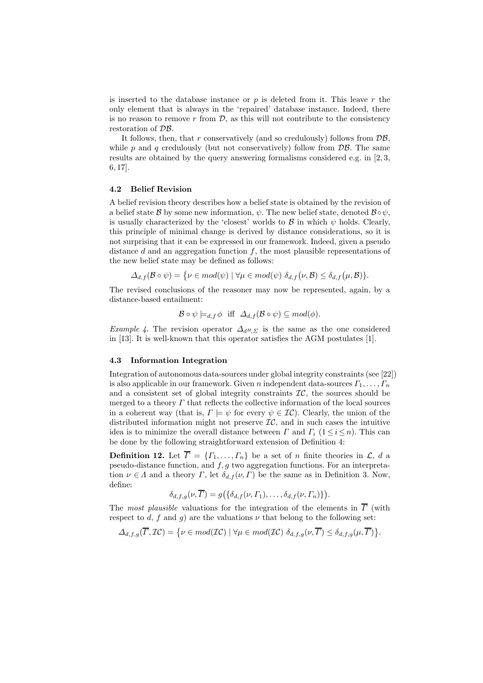is inserted to the database instance or  $p$  is deleted from it. This leave  $r$  the only element that is always in the 'repaired' database instance. Indeed, there is no reason to remove  $r$  from  $\mathcal{D}$ , as this will not contribute to the consistency restoration of DB.

It follows, then, that r conservatively (and so credulously) follows from  $\mathcal{DB}$ , while p and q credulously (but not conservatively) follow from  $\mathcal{DB}$ . The same results are obtained by the query answering formalisms considered e.g. in [2, 3, 6, 17].

#### 4.2 Belief Revision

A belief revision theory describes how a belief state is obtained by the revision of a belief state B by some new information,  $\psi$ . The new belief state, denoted  $\mathcal{B} \circ \psi$ , is usually characterized by the 'closest' worlds to  $\beta$  in which  $\psi$  holds. Clearly, this principle of minimal change is derived by distance considerations, so it is not surprising that it can be expressed in our framework. Indeed, given a pseudo distance  $d$  and an aggregation function  $f$ , the most plausible representations of the new belief state may be defined as follows:

$$
\Delta_{d,f}(\mathcal{B} \circ \psi) = \{ \nu \in mod(\psi) \mid \forall \mu \in mod(\psi) \, \delta_{d,f}(\nu,\mathcal{B}) \leq \delta_{d,f}(\mu,\mathcal{B}) \}.
$$

The revised conclusions of the reasoner may now be represented, again, by a distance-based entailment:

$$
\mathcal{B} \circ \psi \models_{d,f} \phi \text{ iff } \Delta_{d,f}(\mathcal{B} \circ \psi) \subseteq \text{mod}(\phi).
$$

Example 4. The revision operator  $\Delta_{d^H\Sigma}$  is the same as the one considered in [13]. It is well-known that this operator satisfies the AGM postulates [1].

#### 4.3 Information Integration

Integration of autonomous data-sources under global integrity constraints (see [22]) is also applicable in our framework. Given n independent data-sources  $\Gamma_1, \ldots, \Gamma_n$ and a consistent set of global integrity constraints  $\mathcal{IC}$ , the sources should be merged to a theory  $\Gamma$  that reflects the collective information of the local sources in a coherent way (that is,  $\Gamma \models \psi$  for every  $\psi \in \mathcal{IC}$ ). Clearly, the union of the distributed information might not preserve  $\mathcal{IC}$ , and in such cases the intuitive idea is to minimize the overall distance between  $\Gamma$  and  $\Gamma_i$  (1  $\leq i \leq n$ ). This can be done by the following straightforward extension of Definition 4:

**Definition 12.** Let  $\overline{\Gamma} = \{\Gamma_1, \ldots, \Gamma_n\}$  be a set of n finite theories in  $\mathcal{L}, d$  a pseudo-distance function, and  $f, g$  two aggregation functions. For an interpretation  $\nu \in \Lambda$  and a theory  $\Gamma$ , let  $\delta_{d,f}(\nu,\Gamma)$  be the same as in Definition 3. Now, define:

$$
\delta_{d,f,g}(\nu,\overline{\Gamma})=g\big(\{\delta_{d,f}(\nu,\Gamma_1),\ldots,\delta_{d,f}(\nu,\Gamma_n)\}\big).
$$

The most plausible valuations for the integration of the elements in  $\overline{\Gamma}$  (with respect to d, f and g) are the valuations  $\nu$  that belong to the following set:

$$
\Delta_{d,f,g}(\overline{\Gamma},\mathcal{IC})=\big\{\nu\in mod(\mathcal{IC})\mid\forall\mu\in mod(\mathcal{IC})\,\,\delta_{d,f,g}(\nu,\overline{\Gamma})\leq\delta_{d,f,g}(\mu,\overline{\Gamma})\big\}.
$$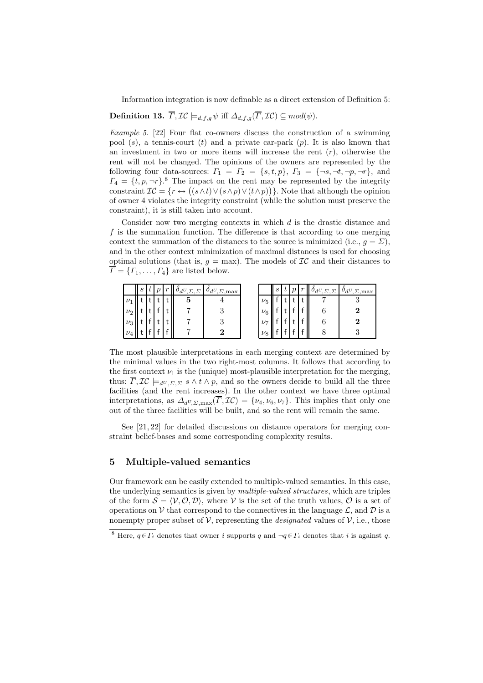Information integration is now definable as a direct extension of Definition 5:

**Definition 13.**  $\overline{\Gamma}, \mathcal{IC} \models_{d,f,q} \psi$  iff  $\Delta_{d,f,q}(\overline{\Gamma}, \mathcal{IC}) \subseteq mod(\psi)$ .

Example 5. [22] Four flat co-owners discuss the construction of a swimming pool  $(s)$ , a tennis-court  $(t)$  and a private car-park  $(p)$ . It is also known that an investment in two or more items will increase the rent  $(r)$ , otherwise the rent will not be changed. The opinions of the owners are represented by the following four data-sources:  $\Gamma_1 = \Gamma_2 = \{s, t, p\}, \Gamma_3 = \{\neg s, \neg t, \neg p, \neg r\}, \text{ and}$  $\Gamma_4 = \{t, p, \neg r\}$ <sup>8</sup> The impact on the rent may be represented by the integrity constraint  $\mathcal{IC} = \{r \leftrightarrow ((s \wedge t) \vee (s \wedge p) \vee (t \wedge p))\}$ . Note that although the opinion of owner 4 violates the integrity constraint (while the solution must preserve the constraint), it is still taken into account.

Consider now two merging contexts in which d is the drastic distance and  $f$  is the summation function. The difference is that according to one merging context the summation of the distances to the source is minimized (i.e.,  $g = \Sigma$ ), and in the other context minimization of maximal distances is used for choosing optimal solutions (that is,  $g = \max$ ). The models of  $\mathcal{IC}$  and their distances to  $\overline{\Gamma} = \{\Gamma_1, \ldots, \Gamma_4\}$  are listed below.

|         | $\boldsymbol{s}$ |  | $\sim$ | $\Sigma$ , $\Sigma$ | $O_dU_{,\Sigma,\max}$ |           | $\mathcal{S}_{0}$ |  | $O_dU, \Sigma, \Sigma$ | $O_dU_{\sqrt{\sum_{i}}max}$ |
|---------|------------------|--|--------|---------------------|-----------------------|-----------|-------------------|--|------------------------|-----------------------------|
|         |                  |  |        | Ð                   |                       | $\nu_5$   |                   |  |                        |                             |
| $\nu_2$ |                  |  |        |                     |                       | $\nu_6$   |                   |  |                        |                             |
| $\nu_3$ |                  |  |        |                     |                       | $\nu_{7}$ |                   |  |                        |                             |
| $\nu_4$ |                  |  |        |                     |                       | $\nu_8$   |                   |  |                        |                             |

The most plausible interpretations in each merging context are determined by the minimal values in the two right-most columns. It follows that according to the first context  $\nu_1$  is the (unique) most-plausible interpretation for the merging, thus:  $\overline{\Gamma}, \mathcal{IC} \models_{d^U, \Sigma, \Sigma} s \wedge t \wedge p$ , and so the owners decide to build all the three facilities (and the rent increases). In the other context we have three optimal interpretations, as  $\Delta_{d^U,\Sigma,\max}(\overline{\Gamma},\mathcal{IC}) = \{\nu_4,\nu_6,\nu_7\}$ . This implies that only one out of the three facilities will be built, and so the rent will remain the same.

See [21, 22] for detailed discussions on distance operators for merging constraint belief-bases and some corresponding complexity results.

## 5 Multiple-valued semantics

Our framework can be easily extended to multiple-valued semantics. In this case, the underlying semantics is given by multiple-valued structures, which are triples of the form  $S = \langle V, O, D \rangle$ , where V is the set of the truth values, O is a set of operations on V that correspond to the connectives in the language  $\mathcal{L}$ , and  $\mathcal{D}$  is a nonempty proper subset of  $V$ , representing the *designated* values of  $V$ , i.e., those

<sup>&</sup>lt;sup>8</sup> Here,  $q \in \overline{\Gamma_i}$  denotes that owner i supports q and  $\neg q \in \Gamma_i$  denotes that i is against q.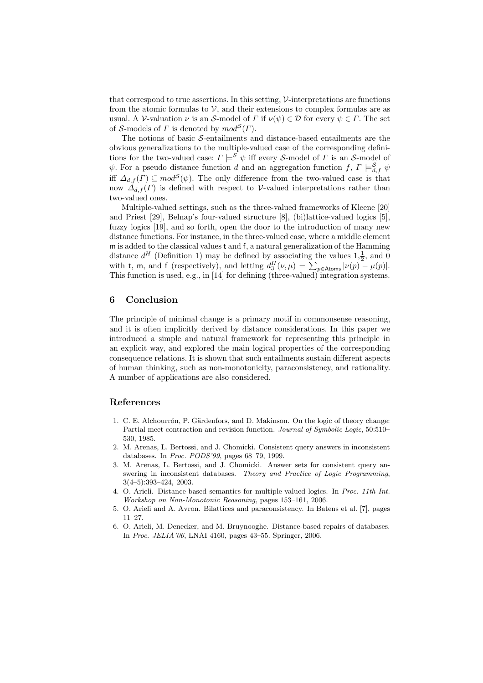that correspond to true assertions. In this setting, V-interpretations are functions from the atomic formulas to  $V$ , and their extensions to complex formulas are as usual. A V-valuation  $\nu$  is an S-model of  $\Gamma$  if  $\nu(\psi) \in \mathcal{D}$  for every  $\psi \in \Gamma$ . The set of S-models of  $\Gamma$  is denoted by  $mod^{\mathcal{S}}(\Gamma)$ .

The notions of basic S-entailments and distance-based entailments are the obvious generalizations to the multiple-valued case of the corresponding definitions for the two-valued case:  $\Gamma \models^{\mathcal{S}} \psi$  iff every *S*-model of  $\Gamma$  is an *S*-model of  $\psi$ . For a pseudo distance function d and an aggregation function f,  $\Gamma \models^{\mathcal{S}}_{d,f} \psi$ iff  $\Delta_{d,f}(\Gamma) \subseteq \text{mod}^{\mathcal{S}}(\psi)$ . The only difference from the two-valued case is that now  $\Delta_{d,f}(\Gamma)$  is defined with respect to V-valued interpretations rather than two-valued ones.

Multiple-valued settings, such as the three-valued frameworks of Kleene [20] and Priest [29], Belnap's four-valued structure [8], (bi)lattice-valued logics [5], fuzzy logics [19], and so forth, open the door to the introduction of many new distance functions. For instance, in the three-valued case, where a middle element m is added to the classical values t and f, a natural generalization of the Hamming distance  $d^H$  (Definition 1) may be defined by associating the values  $1, \frac{1}{2}$ , and 0 with t, m, and f (respectively), and letting  $d_3^H(\nu,\mu) = \sum_{p \in \text{Atoms}} |\nu(p) - \mu(p)|$ . This function is used, e.g., in [14] for defining (three-valued) integration systems.

## 6 Conclusion

The principle of minimal change is a primary motif in commonsense reasoning, and it is often implicitly derived by distance considerations. In this paper we introduced a simple and natural framework for representing this principle in an explicit way, and explored the main logical properties of the corresponding consequence relations. It is shown that such entailments sustain different aspects of human thinking, such as non-monotonicity, paraconsistency, and rationality. A number of applications are also considered.

#### References

- 1. C. E. Alchourrón, P. Gärdenfors, and D. Makinson. On the logic of theory change: Partial meet contraction and revision function. Journal of Symbolic Logic, 50:510– 530, 1985.
- 2. M. Arenas, L. Bertossi, and J. Chomicki. Consistent query answers in inconsistent databases. In Proc. PODS'99, pages 68–79, 1999.
- 3. M. Arenas, L. Bertossi, and J. Chomicki. Answer sets for consistent query answering in inconsistent databases. Theory and Practice of Logic Programming, 3(4–5):393–424, 2003.
- 4. O. Arieli. Distance-based semantics for multiple-valued logics. In Proc. 11th Int. Workshop on Non-Monotonic Reasoning, pages 153–161, 2006.
- 5. O. Arieli and A. Avron. Bilattices and paraconsistency. In Batens et al. [7], pages 11–27.
- 6. O. Arieli, M. Denecker, and M. Bruynooghe. Distance-based repairs of databases. In Proc. JELIA'06, LNAI 4160, pages 43–55. Springer, 2006.